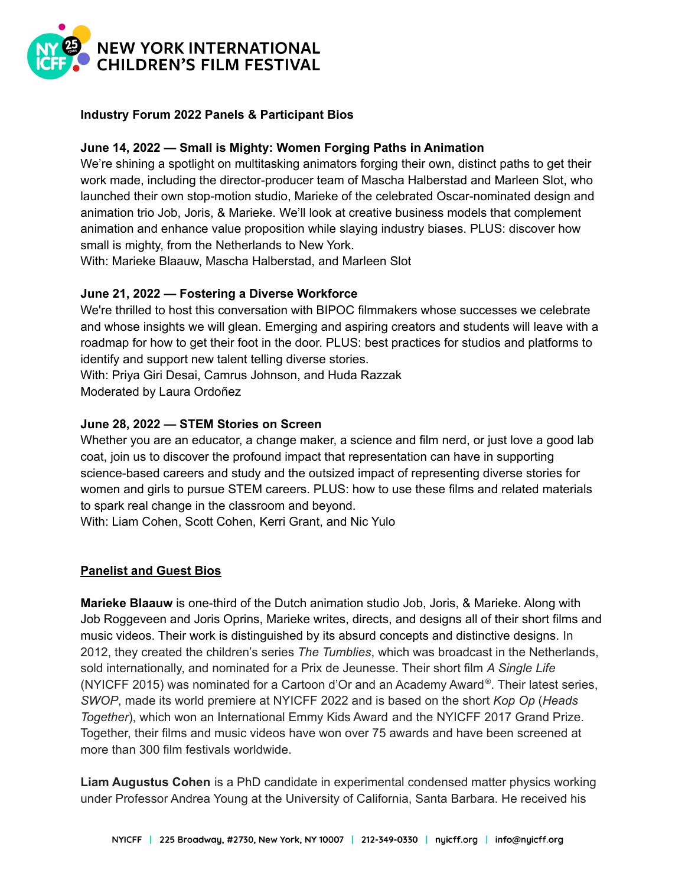

# **Industry Forum 2022 Panels & Participant Bios**

# **June 14, 2022 — Small is Mighty: Women Forging Paths in Animation**

We're shining a spotlight on multitasking animators forging their own, distinct paths to get their work made, including the director-producer team of Mascha Halberstad and Marleen Slot, who launched their own stop-motion studio, Marieke of the celebrated Oscar-nominated design and animation trio Job, Joris, & Marieke. We'll look at creative business models that complement animation and enhance value proposition while slaying industry biases. PLUS: discover how small is mighty, from the Netherlands to New York.

With: Marieke Blaauw, Mascha Halberstad, and Marleen Slot

### **June 21, 2022 — Fostering a Diverse Workforce**

We're thrilled to host this conversation with BIPOC filmmakers whose successes we celebrate and whose insights we will glean. Emerging and aspiring creators and students will leave with a roadmap for how to get their foot in the door. PLUS: best practices for studios and platforms to identify and support new talent telling diverse stories.

With: Priya Giri Desai, Camrus Johnson, and Huda Razzak

Moderated by Laura Ordoñez

# **June 28, 2022 — STEM Stories on Screen**

Whether you are an educator, a change maker, a science and film nerd, or just love a good lab coat, join us to discover the profound impact that representation can have in supporting science-based careers and study and the outsized impact of representing diverse stories for women and girls to pursue STEM careers. PLUS: how to use these films and related materials to spark real change in the classroom and beyond.

With: Liam Cohen, Scott Cohen, Kerri Grant, and Nic Yulo

#### **Panelist and Guest Bios**

**Marieke Blaauw** is one-third of the Dutch animation studio Job, Joris, & Marieke. Along with Job Roggeveen and Joris Oprins, Marieke writes, directs, and designs all of their short films and music videos. Their work is distinguished by its absurd concepts and distinctive designs. In 2012, they created the children's series *The Tumblies*, which was broadcast in the Netherlands, sold internationally, and nominated for a Prix de Jeunesse. Their short film *A Single Life* (NYICFF 2015) was nominated for a Cartoon d'Or and an Academy Award ® . Their latest series, *SWOP*, made its world premiere at NYICFF 2022 and is based on the short *Kop Op* (*Heads Together*), which won an International Emmy Kids Award and the NYICFF 2017 Grand Prize. Together, their films and music videos have won over 75 awards and have been screened at more than 300 film festivals worldwide.

**Liam Augustus Cohen** is a PhD candidate in experimental condensed matter physics working under Professor Andrea Young at the University of California, Santa Barbara. He received his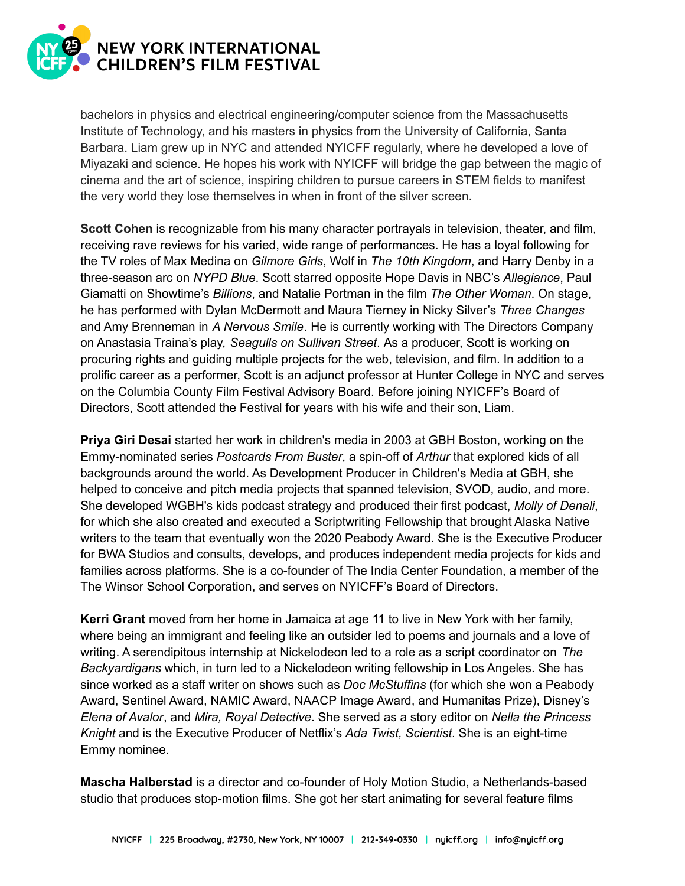

bachelors in physics and electrical engineering/computer science from the Massachusetts Institute of Technology, and his masters in physics from the University of California, Santa Barbara. Liam grew up in NYC and attended NYICFF regularly, where he developed a love of Miyazaki and science. He hopes his work with NYICFF will bridge the gap between the magic of cinema and the art of science, inspiring children to pursue careers in STEM fields to manifest the very world they lose themselves in when in front of the silver screen.

**Scott Cohen** is recognizable from his many character portrayals in television, theater, and film, receiving rave reviews for his varied, wide range of performances. He has a loyal following for the TV roles of Max Medina on *Gilmore Girls*, Wolf in *The 10th Kingdom*, and Harry Denby in a three-season arc on *NYPD Blue*. Scott starred opposite Hope Davis in NBC's *Allegiance*, Paul Giamatti on Showtime's *Billions*, and Natalie Portman in the film *The Other Woman*. On stage, he has performed with Dylan McDermott and Maura Tierney in Nicky Silver's *Three Changes* and Amy Brenneman in *A Nervous Smile*. He is currently working with The Directors Company on Anastasia Traina's play, *Seagulls on Sullivan Street*. As a producer, Scott is working on procuring rights and guiding multiple projects for the web, television, and film. In addition to a prolific career as a performer, Scott is an adjunct professor at Hunter College in NYC and serves on the Columbia County Film Festival Advisory Board. Before joining NYICFF's Board of Directors, Scott attended the Festival for years with his wife and their son, Liam.

**Priya Giri Desai** started her work in children's media in 2003 at GBH Boston, working on the Emmy-nominated series *Postcards From Buster*, a spin-off of *Arthur* that explored kids of all backgrounds around the world. As Development Producer in Children's Media at GBH, she helped to conceive and pitch media projects that spanned television, SVOD, audio, and more. She developed WGBH's kids podcast strategy and produced their first podcast, *Molly of Denali*, for which she also created and executed a Scriptwriting Fellowship that brought Alaska Native writers to the team that eventually won the 2020 Peabody Award. She is the Executive Producer for BWA Studios and consults, develops, and produces independent media projects for kids and families across platforms. She is a co-founder of The India Center Foundation, a member of the The Winsor School Corporation, and serves on NYICFF's Board of Directors.

**Kerri Grant** moved from her home in Jamaica at age 11 to live in New York with her family, where being an immigrant and feeling like an outsider led to poems and journals and a love of writing. A serendipitous internship at Nickelodeon led to a role as a script coordinator on *The Backyardigans* which, in turn led to a Nickelodeon writing fellowship in Los Angeles. She has since worked as a staff writer on shows such as *Doc McStuffins* (for which she won a Peabody Award, Sentinel Award, NAMIC Award, NAACP Image Award, and Humanitas Prize), Disney's *Elena of Avalor*, and *Mira, Royal Detective*. She served as a story editor on *Nella the Princess Knight* and is the Executive Producer of Netflix's *Ada Twist, Scientist*. She is an eight-time Emmy nominee.

**Mascha Halberstad** is a director and co-founder of Holy Motion Studio, a Netherlands-based studio that produces stop-motion films. She got her start animating for several feature films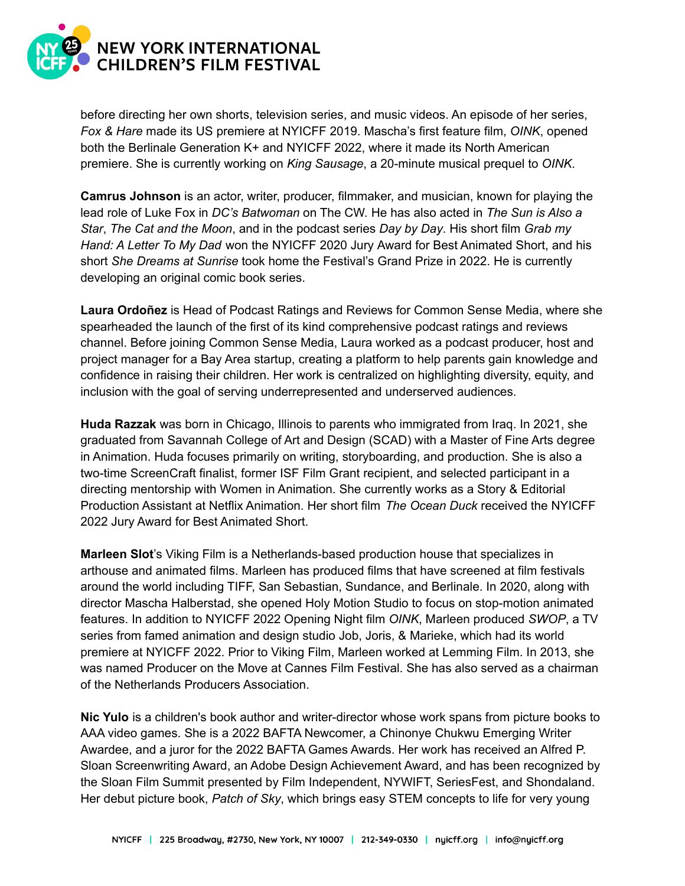

before directing her own shorts, television series, and music videos. An episode of her series, *Fox & Hare* made its US premiere at NYICFF 2019. Mascha's first feature film, *OINK*, opened both the Berlinale Generation K+ and NYICFF 2022, where it made its North American premiere. She is currently working on *King Sausage*, a 20-minute musical prequel to *OINK*.

**Camrus Johnson** is an actor, writer, producer, filmmaker, and musician, known for playing the lead role of Luke Fox in *DC's Batwoman* on The CW. He has also acted in *The Sun is Also a Star*, *The Cat and the Moon*, and in the podcast series *Day by Day*. His short film *Grab my Hand: A Letter To My Dad* won the NYICFF 2020 Jury Award for Best Animated Short, and his short *She Dreams at Sunrise* took home the Festival's Grand Prize in 2022. He is currently developing an original comic book series.

**Laura Ordoñez** is Head of Podcast Ratings and Reviews for Common Sense Media, where she spearheaded the launch of the first of its kind comprehensive podcast ratings and reviews channel. Before joining Common Sense Media, Laura worked as a podcast producer, host and project manager for a Bay Area startup, creating a platform to help parents gain knowledge and confidence in raising their children. Her work is centralized on highlighting diversity, equity, and inclusion with the goal of serving underrepresented and underserved audiences.

**Huda Razzak** was born in Chicago, Illinois to parents who immigrated from Iraq. In 2021, she graduated from Savannah College of Art and Design (SCAD) with a Master of Fine Arts degree in Animation. Huda focuses primarily on writing, storyboarding, and production. She is also a two-time ScreenCraft finalist, former ISF Film Grant recipient, and selected participant in a directing mentorship with Women in Animation. She currently works as a Story & Editorial Production Assistant at Netflix Animation. Her short film *The Ocean Duck* received the NYICFF 2022 Jury Award for Best Animated Short.

**Marleen Slot**'s Viking Film is a Netherlands-based production house that specializes in arthouse and animated films. Marleen has produced films that have screened at film festivals around the world including TIFF, San Sebastian, Sundance, and Berlinale. In 2020, along with director Mascha Halberstad, she opened Holy Motion Studio to focus on stop-motion animated features. In addition to NYICFF 2022 Opening Night film *OINK*, Marleen produced *SWOP*, a TV series from famed animation and design studio Job, Joris, & Marieke, which had its world premiere at NYICFF 2022. Prior to Viking Film, Marleen worked at Lemming Film. In 2013, she was named Producer on the Move at Cannes Film Festival. She has also served as a chairman of the Netherlands Producers Association.

**Nic Yulo** is a children's book author and writer-director whose work spans from picture books to AAA video games. She is a 2022 BAFTA Newcomer, a Chinonye Chukwu Emerging Writer Awardee, and a juror for the 2022 BAFTA Games Awards. Her work has received an Alfred P. Sloan Screenwriting Award, an Adobe Design Achievement Award, and has been recognized by the Sloan Film Summit presented by Film Independent, NYWIFT, SeriesFest, and Shondaland. Her debut picture book, *Patch of Sky*, which brings easy STEM concepts to life for very young